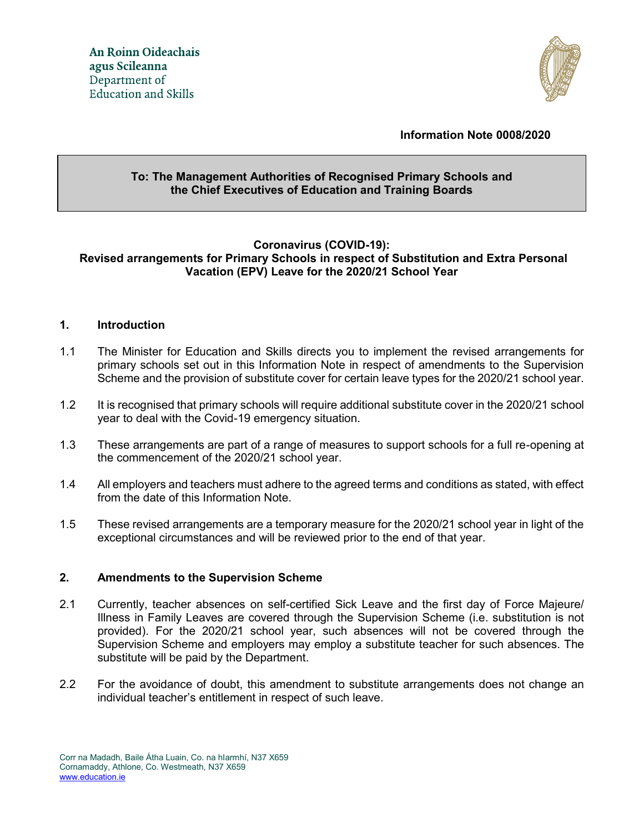

### **Information Note 0008/2020**

# **To: The Management Authorities of Recognised Primary Schools and the Chief Executives of Education and Training Boards**

### **Coronavirus (COVID-19): Revised arrangements for Primary Schools in respect of Substitution and Extra Personal Vacation (EPV) Leave for the 2020/21 School Year**

### **1. Introduction**

- 1.1 The Minister for Education and Skills directs you to implement the revised arrangements for primary schools set out in this Information Note in respect of amendments to the Supervision Scheme and the provision of substitute cover for certain leave types for the 2020/21 school year.
- 1.2 It is recognised that primary schools will require additional substitute cover in the 2020/21 school year to deal with the Covid-19 emergency situation.
- 1.3 These arrangements are part of a range of measures to support schools for a full re-opening at the commencement of the 2020/21 school year.
- 1.4 All employers and teachers must adhere to the agreed terms and conditions as stated, with effect from the date of this Information Note.
- 1.5 These revised arrangements are a temporary measure for the 2020/21 school year in light of the exceptional circumstances and will be reviewed prior to the end of that year.

#### **2. Amendments to the Supervision Scheme**

- 2.1 Currently, teacher absences on self-certified Sick Leave and the first day of Force Majeure/ Illness in Family Leaves are covered through the Supervision Scheme (i.e. substitution is not provided). For the 2020/21 school year, such absences will not be covered through the Supervision Scheme and employers may employ a substitute teacher for such absences. The substitute will be paid by the Department.
- 2.2 For the avoidance of doubt, this amendment to substitute arrangements does not change an individual teacher's entitlement in respect of such leave.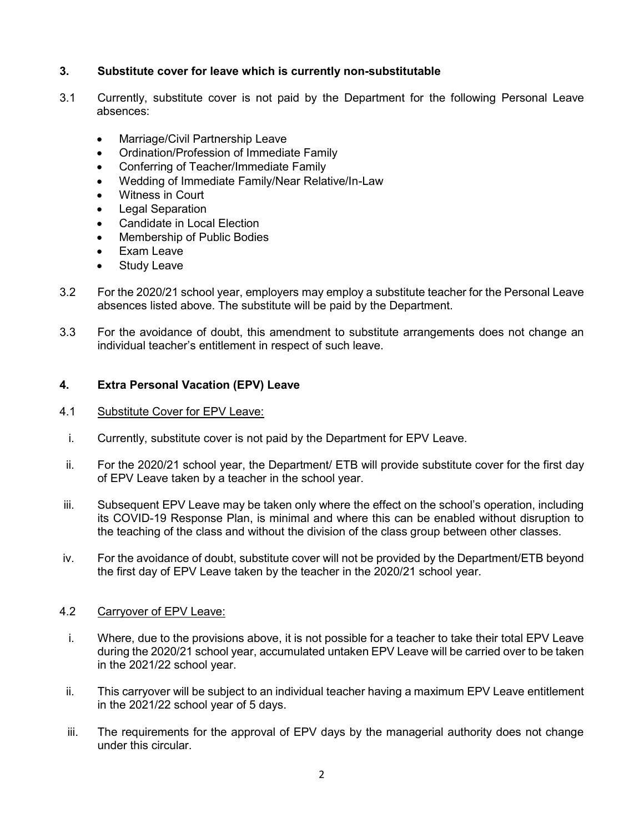# **3. Substitute cover for leave which is currently non-substitutable**

- 3.1 Currently, substitute cover is not paid by the Department for the following Personal Leave absences:
	- Marriage/Civil Partnership Leave
	- Ordination/Profession of Immediate Family
	- Conferring of Teacher/Immediate Family
	- Wedding of Immediate Family/Near Relative/In-Law
	- Witness in Court
	- Legal Separation
	- Candidate in Local Election
	- Membership of Public Bodies
	- Exam Leave
	- Study Leave
- 3.2 For the 2020/21 school year, employers may employ a substitute teacher for the Personal Leave absences listed above. The substitute will be paid by the Department.
- 3.3 For the avoidance of doubt, this amendment to substitute arrangements does not change an individual teacher's entitlement in respect of such leave.

# **4. Extra Personal Vacation (EPV) Leave**

### 4.1 Substitute Cover for EPV Leave:

- i. Currently, substitute cover is not paid by the Department for EPV Leave.
- ii. For the 2020/21 school year, the Department/ ETB will provide substitute cover for the first day of EPV Leave taken by a teacher in the school year.
- iii. Subsequent EPV Leave may be taken only where the effect on the school's operation, including its COVID-19 Response Plan, is minimal and where this can be enabled without disruption to the teaching of the class and without the division of the class group between other classes.
- iv. For the avoidance of doubt, substitute cover will not be provided by the Department/ETB beyond the first day of EPV Leave taken by the teacher in the 2020/21 school year.

#### 4.2 Carryover of EPV Leave:

- i. Where, due to the provisions above, it is not possible for a teacher to take their total EPV Leave during the 2020/21 school year, accumulated untaken EPV Leave will be carried over to be taken in the 2021/22 school year.
- ii. This carryover will be subject to an individual teacher having a maximum EPV Leave entitlement in the 2021/22 school year of 5 days.
- iii. The requirements for the approval of EPV days by the managerial authority does not change under this circular.